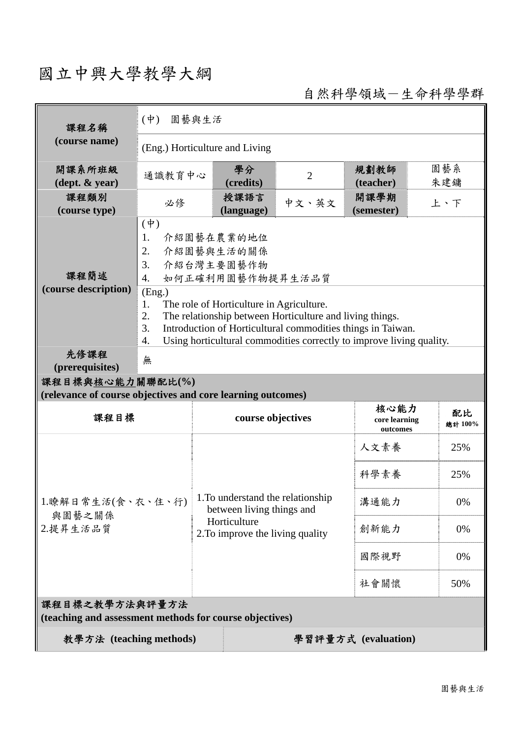## 國立中興大學教學大綱

自然科學領域-生命科學學群

| 課程名稱                                                                            | $(\phi)$<br>園藝與生活                                                                                                                                                                                                                                                             |                                                                |                |                                   |               |  |
|---------------------------------------------------------------------------------|-------------------------------------------------------------------------------------------------------------------------------------------------------------------------------------------------------------------------------------------------------------------------------|----------------------------------------------------------------|----------------|-----------------------------------|---------------|--|
| (course name)                                                                   | (Eng.) Horticulture and Living                                                                                                                                                                                                                                                |                                                                |                |                                   |               |  |
| 開課系所班級<br>$(\text{dept.} \& \text{ year})$                                      | 通識教育中心                                                                                                                                                                                                                                                                        | 學分<br>(credits)                                                | $\overline{2}$ | 規劃教師<br>(teacher)                 | 園藝系<br>朱建鏞    |  |
| 課程類別<br>(course type)                                                           | 必修                                                                                                                                                                                                                                                                            | 授課語言<br>(language)                                             | 中文、英文          | 開課學期<br>(semester)                | 上、下           |  |
| 課程簡述<br>(course description)                                                    | $(\phi)$<br>1.<br>介紹園藝在農業的地位<br>2.<br>介紹園藝與生活的關係<br>3.<br>介紹台灣主要園藝作物<br>如何正確利用園藝作物提昇生活品質<br>$\overline{4}$ .                                                                                                                                                                  |                                                                |                |                                   |               |  |
|                                                                                 | (Eng.)<br>The role of Horticulture in Agriculture.<br>1.<br>2.<br>The relationship between Horticulture and living things.<br>3.<br>Introduction of Horticultural commodities things in Taiwan.<br>Using horticultural commodities correctly to improve living quality.<br>4. |                                                                |                |                                   |               |  |
| 先修課程<br>(prerequisites)                                                         | 無                                                                                                                                                                                                                                                                             |                                                                |                |                                   |               |  |
| 課程目標與核心能力關聯配比(%)<br>(relevance of course objectives and core learning outcomes) |                                                                                                                                                                                                                                                                               |                                                                |                |                                   |               |  |
| 課程目標                                                                            |                                                                                                                                                                                                                                                                               | course objectives                                              |                | 核心能力<br>core learning<br>outcomes | 配比<br>總計 100% |  |
| 1.瞭解日常生活(食、衣、住、行)<br>與園藝之關係                                                     |                                                                                                                                                                                                                                                                               | 1. To understand the relationship<br>between living things and |                | 人文素養                              | 25%           |  |
|                                                                                 |                                                                                                                                                                                                                                                                               |                                                                |                | 科學素養                              | 25%           |  |
|                                                                                 |                                                                                                                                                                                                                                                                               |                                                                |                | 溝通能力                              | 0%            |  |
| 2.提昇生活品質                                                                        |                                                                                                                                                                                                                                                                               | Horticulture<br>2. To improve the living quality               | 創新能力           | 0%                                |               |  |
|                                                                                 |                                                                                                                                                                                                                                                                               |                                                                | 國際視野           | 0%                                |               |  |
|                                                                                 |                                                                                                                                                                                                                                                                               |                                                                |                | 社會關懷                              | 50%           |  |
| 課程目標之教學方法與評量方法<br>(teaching and assessment methods for course objectives)       |                                                                                                                                                                                                                                                                               |                                                                |                |                                   |               |  |
| 教學方法 (teaching methods)<br>學習評量方式 (evaluation)                                  |                                                                                                                                                                                                                                                                               |                                                                |                |                                   |               |  |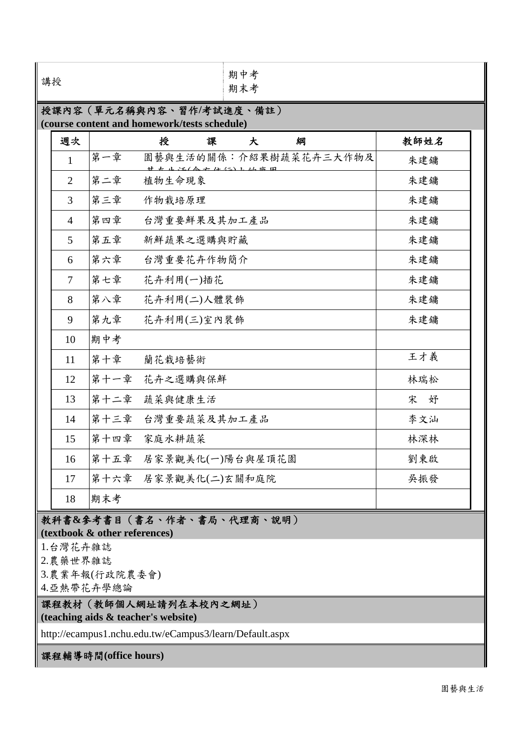| 週次                                                                                    | 授<br>課<br>綱<br>大                 | 教師姓名   |
|---------------------------------------------------------------------------------------|----------------------------------|--------|
| 第一章<br>$\mathbf{1}$                                                                   | 園藝與生活的關係︰介紹果樹蔬菜花卉三大作物及<br>222111 | 朱建鏞    |
| 第二章<br>$\overline{2}$                                                                 | 植物生命現象                           | 朱建鏞    |
| 第三章<br>3                                                                              | 作物栽培原理                           | 朱建鏞    |
| 第四章<br>4                                                                              | 台灣重要鮮果及其加工產品                     | 朱建鏞    |
| 第五章<br>5                                                                              | 新鮮蔬果之選購與貯藏                       | 朱建鏞    |
| 第六章<br>6                                                                              | 台灣重要花卉作物簡介                       | 朱建鏞    |
| 第七章<br>$\overline{7}$                                                                 | 花卉利用(一)插花                        | 朱建鏞    |
| 第八章<br>8                                                                              | 花卉利用(二)人體裝飾                      | 朱建鏞    |
| 第九章<br>9                                                                              | 花卉利用(三)室內裝飾                      | 朱建鏞    |
| 期中考<br>10                                                                             |                                  |        |
| 第十章<br>11                                                                             | 蘭花栽培藝術                           | 王才義    |
| 第十一章<br>12                                                                            | 花卉之選購與保鮮                         | 林瑞松    |
| 第十二章<br>13                                                                            | 蔬菜與健康生活                          | 宋<br>妤 |
| 第十三章<br>14                                                                            | 台灣重要蔬菜及其加工產品                     | 李文汕    |
| 第十四章<br>15                                                                            | 家庭水耕蔬菜                           | 林深林    |
| 第十五章<br>16                                                                            | 居家景觀美化(一)陽台與屋頂花園                 | 劉東啟    |
| 17                                                                                    | 第十六章 居家景觀美化(二)玄關和庭院              | 吳振發    |
| 期末考<br>18                                                                             |                                  |        |
| (textbook & other references)<br>1.台灣花卉雜誌<br>2.農藥世界雜誌<br>3.農業年報(行政院農委會)<br>4.亞熱帶花卉學總論 | 教科書&參考書目(書名、作者、書局、代理商、說明)        |        |

http://ecampus1.nchu.edu.tw/eCampus3/learn/Default.aspx

課程輔導時間**(office hours)**